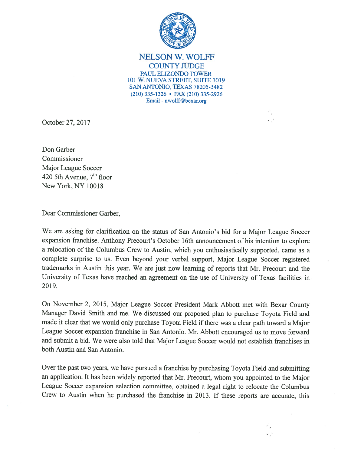

NELSON W. WOLFF COUNTY JUDGE PAUL ELIZONDO TOWER 101 W. NUEVA STREET, SUITE 1019 SAN ANTONIO, TEXAS 78205-3482 (210)335-1326 • FAX (210) 335-2926 Email -nwolff@bexar.org

October 27, 2017

Don Garber Commissioner Major League Soccer 420 5th Avenue,  $7<sup>th</sup>$  floor New York, NY 10018

Dear Commissioner Garber,

We are asking for clarification on the status of San Antonio's bid for <sup>a</sup> Major League Soccer expansion franchise. Anthony Precourt's October 16th announcement of his intention to explore <sup>a</sup> relocation of the Columbus Crew to Austin, which you enthusiastically supported, came as <sup>a</sup> complete surprise to us. Even beyond your verbal support, Major League Soccer registered trademarks in Austin this year. We are just now learning of reports that Mr. Precourt and the University of Texas have reached an agreemen<sup>t</sup> on the use of University of Texas facilities in 2019.

On November 2, 2015, Major League Soccer President Mark Abbott met with Bexar County Manager David Smith and me. We discussed our propose<sup>d</sup> <sup>p</sup>lan to purchase Toyota Field and made it clear that we would only purchase Toyota Field if there was <sup>a</sup> clear path toward <sup>a</sup> Major League Soccer expansion franchise in San Antonio. Mr. Abbott encourage<sup>d</sup> us to move forward and submit <sup>a</sup> bid. We were also told that Major League Soccer would not establish franchises in both Austin and San Antonio.

Over the pas<sup>t</sup> two years, we have pursue<sup>d</sup> <sup>a</sup> franchise by purchasing Toyota Field and submitting an application. It has been widely reported that Mr. Precourt, whom you appointed to the Major League Soccer expansion selection committee, obtained <sup>a</sup> legal right to relocate the Columbus Crew to Austin when he purchased the franchise in 2013. If these reports are accurate, this